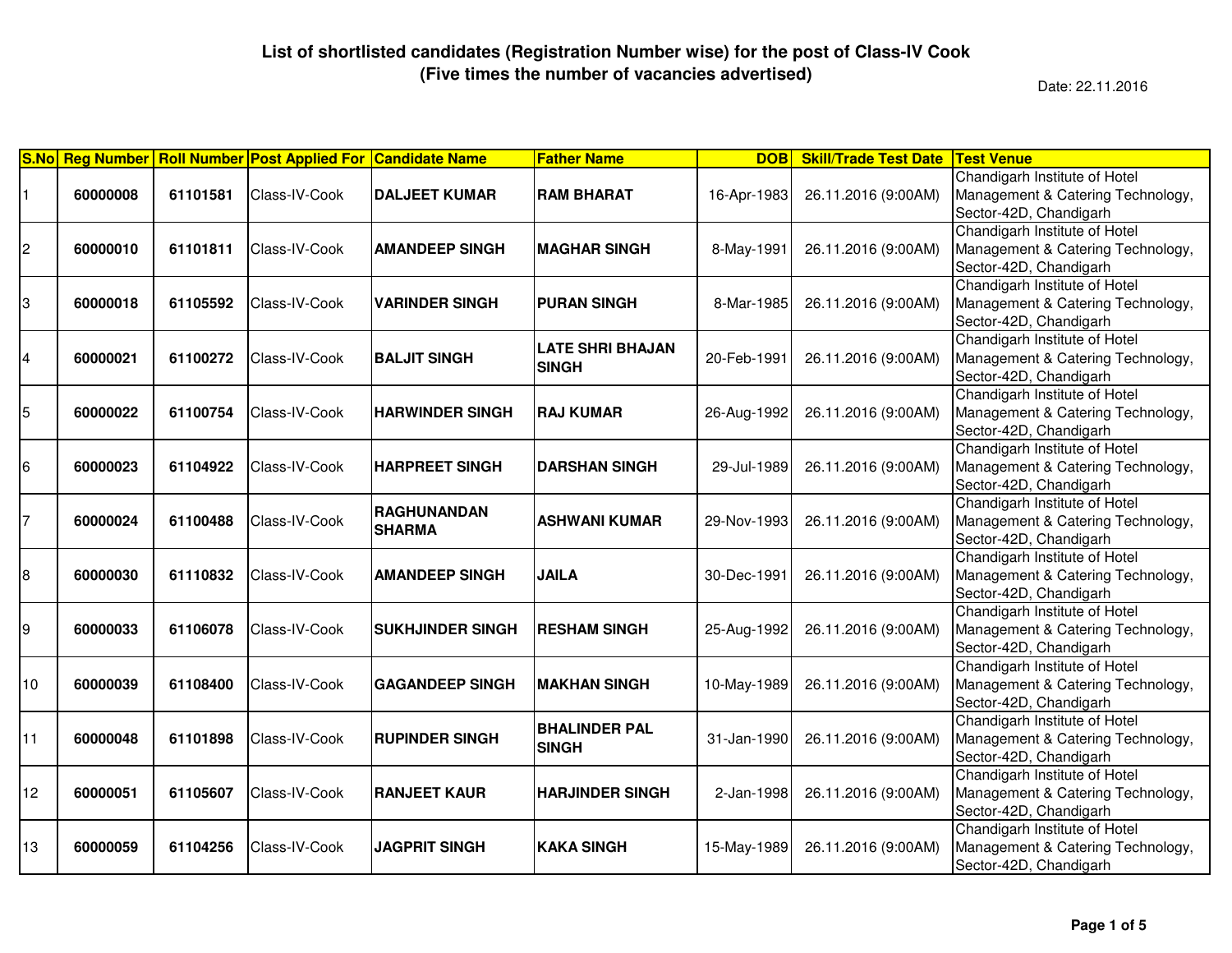|                |          |          | S.No Reg Number Roll Number Post Applied For Candidate Name |                                     | <b>Father Name</b>                      | <b>DOB</b>  | <b>Skill/Trade Test Date</b> | <b>Test Venue</b>                                                                            |
|----------------|----------|----------|-------------------------------------------------------------|-------------------------------------|-----------------------------------------|-------------|------------------------------|----------------------------------------------------------------------------------------------|
|                | 60000008 | 61101581 | Class-IV-Cook                                               | <b>DALJEET KUMAR</b>                | <b>RAM BHARAT</b>                       | 16-Apr-1983 | 26.11.2016 (9:00AM)          | Chandigarh Institute of Hotel<br>Management & Catering Technology,<br>Sector-42D, Chandigarh |
| $\overline{c}$ | 60000010 | 61101811 | Class-IV-Cook                                               | <b>AMANDEEP SINGH</b>               | <b>MAGHAR SINGH</b>                     | 8-May-1991  | 26.11.2016 (9:00AM)          | Chandigarh Institute of Hotel<br>Management & Catering Technology,<br>Sector-42D, Chandigarh |
| 3              | 60000018 | 61105592 | Class-IV-Cook                                               | <b>VARINDER SINGH</b>               | <b>IPURAN SINGH</b>                     | 8-Mar-1985  | 26.11.2016 (9:00AM)          | Chandigarh Institute of Hotel<br>Management & Catering Technology,<br>Sector-42D, Chandigarh |
| 4              | 60000021 | 61100272 | Class-IV-Cook                                               | <b>BALJIT SINGH</b>                 | <b>LATE SHRI BHAJAN</b><br><b>SINGH</b> | 20-Feb-1991 | 26.11.2016 (9:00AM)          | Chandigarh Institute of Hotel<br>Management & Catering Technology,<br>Sector-42D, Chandigarh |
| 5              | 60000022 | 61100754 | Class-IV-Cook                                               | <b>HARWINDER SINGH</b>              | IRAJ KUMAR                              | 26-Aug-1992 | 26.11.2016 (9:00AM)          | Chandigarh Institute of Hotel<br>Management & Catering Technology,<br>Sector-42D, Chandigarh |
| 16             | 60000023 | 61104922 | Class-IV-Cook                                               | <b>HARPREET SINGH</b>               | <b>DARSHAN SINGH</b>                    | 29-Jul-1989 | 26.11.2016 (9:00AM)          | Chandigarh Institute of Hotel<br>Management & Catering Technology,<br>Sector-42D, Chandigarh |
| 7              | 60000024 | 61100488 | Class-IV-Cook                                               | <b>RAGHUNANDAN</b><br><b>SHARMA</b> | <b>ASHWANI KUMAR</b>                    | 29-Nov-1993 | 26.11.2016 (9:00AM)          | Chandigarh Institute of Hotel<br>Management & Catering Technology,<br>Sector-42D, Chandigarh |
| 18             | 60000030 | 61110832 | Class-IV-Cook                                               | <b>AMANDEEP SINGH</b>               | <b>JAILA</b>                            | 30-Dec-1991 | 26.11.2016 (9:00AM)          | Chandigarh Institute of Hotel<br>Management & Catering Technology,<br>Sector-42D, Chandigarh |
| 19             | 60000033 | 61106078 | Class-IV-Cook                                               | <b>SUKHJINDER SINGH</b>             | <b>RESHAM SINGH</b>                     | 25-Aug-1992 | 26.11.2016 (9:00AM)          | Chandigarh Institute of Hotel<br>Management & Catering Technology,<br>Sector-42D, Chandigarh |
| 10             | 60000039 | 61108400 | Class-IV-Cook                                               | <b>GAGANDEEP SINGH</b>              | <b>MAKHAN SINGH</b>                     | 10-May-1989 | 26.11.2016 (9:00AM)          | Chandigarh Institute of Hotel<br>Management & Catering Technology,<br>Sector-42D, Chandigarh |
| 11             | 60000048 | 61101898 | Class-IV-Cook                                               | <b>RUPINDER SINGH</b>               | <b>BHALINDER PAL</b><br><b>SINGH</b>    | 31-Jan-1990 | 26.11.2016 (9:00AM)          | Chandigarh Institute of Hotel<br>Management & Catering Technology,<br>Sector-42D, Chandigarh |
| 12             | 60000051 | 61105607 | Class-IV-Cook                                               | <b>RANJEET KAUR</b>                 | <b>HARJINDER SINGH</b>                  | 2-Jan-1998  | 26.11.2016 (9:00AM)          | Chandigarh Institute of Hotel<br>Management & Catering Technology,<br>Sector-42D, Chandigarh |
| 13             | 60000059 | 61104256 | Class-IV-Cook                                               | <b>JAGPRIT SINGH</b>                | <b>KAKA SINGH</b>                       | 15-May-1989 | 26.11.2016 (9:00AM)          | Chandigarh Institute of Hotel<br>Management & Catering Technology,<br>Sector-42D, Chandigarh |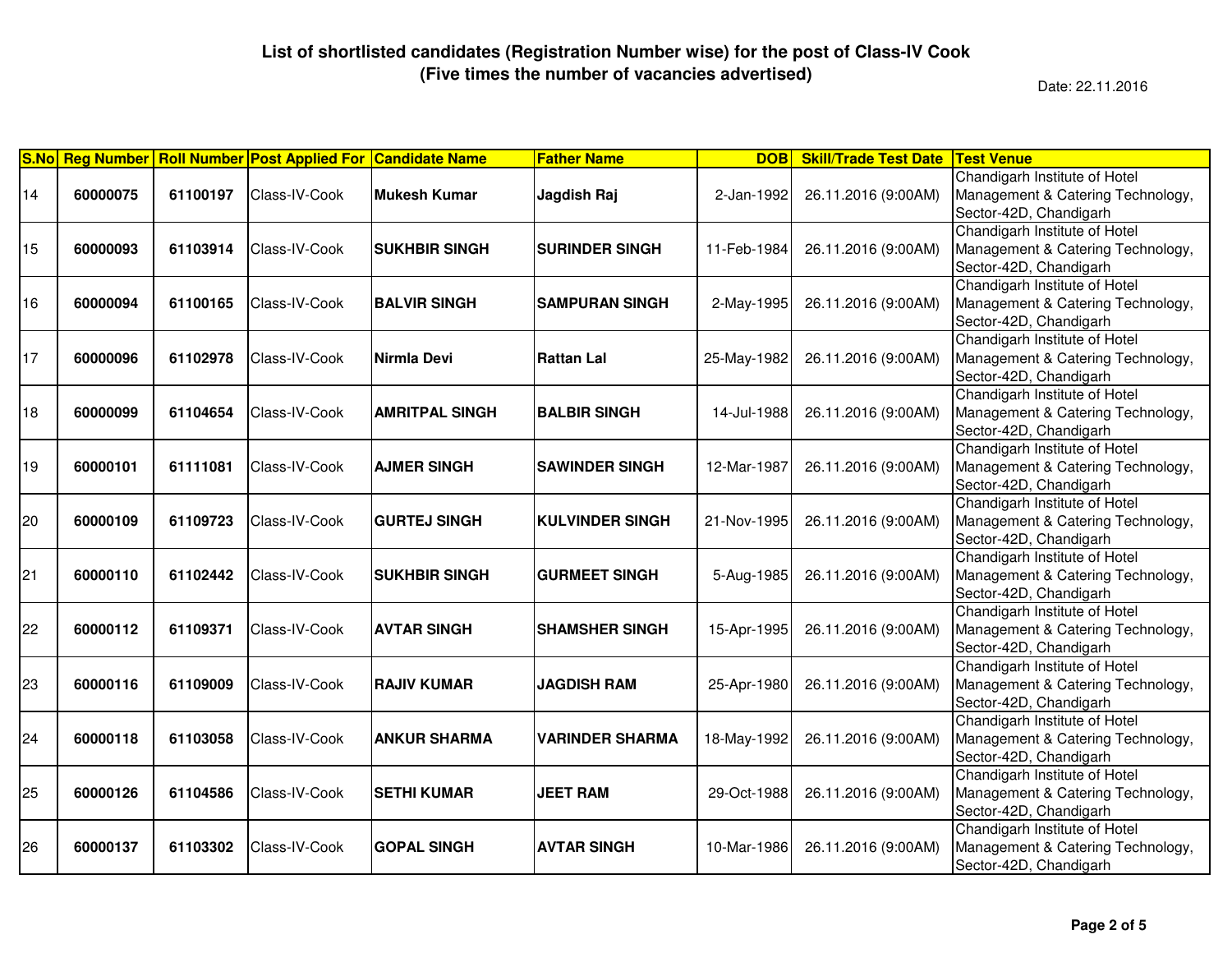| <b>S.No</b> | <b>Reg Number</b> |          | <b>Roll Number Post Applied For Candidate Name</b> |                       | <b>Father Name</b>     | <b>DOB</b>  | <b>Skill/Trade Test Date</b> | <b>Test Venue</b>                                                                            |
|-------------|-------------------|----------|----------------------------------------------------|-----------------------|------------------------|-------------|------------------------------|----------------------------------------------------------------------------------------------|
| 14          | 60000075          | 61100197 | Class-IV-Cook                                      | <b>Mukesh Kumar</b>   | Jagdish Raj            | 2-Jan-1992  | 26.11.2016 (9:00AM)          | Chandigarh Institute of Hotel<br>Management & Catering Technology,<br>Sector-42D, Chandigarh |
| 15          | 60000093          | 61103914 | Class-IV-Cook                                      | <b>SUKHBIR SINGH</b>  | <b>SURINDER SINGH</b>  | 11-Feb-1984 | 26.11.2016 (9:00AM)          | Chandigarh Institute of Hotel<br>Management & Catering Technology,<br>Sector-42D, Chandigarh |
| 16          | 60000094          | 61100165 | Class-IV-Cook                                      | <b>BALVIR SINGH</b>   | <b>SAMPURAN SINGH</b>  | 2-May-1995  | 26.11.2016 (9:00AM)          | Chandigarh Institute of Hotel<br>Management & Catering Technology,<br>Sector-42D, Chandigarh |
| 17          | 60000096          | 61102978 | Class-IV-Cook                                      | Nirmla Devi           | <b>Rattan Lal</b>      | 25-May-1982 | 26.11.2016 (9:00AM)          | Chandigarh Institute of Hotel<br>Management & Catering Technology,<br>Sector-42D, Chandigarh |
| 18          | 60000099          | 61104654 | Class-IV-Cook                                      | <b>AMRITPAL SINGH</b> | <b>BALBIR SINGH</b>    | 14-Jul-1988 | 26.11.2016 (9:00AM)          | Chandigarh Institute of Hotel<br>Management & Catering Technology,<br>Sector-42D, Chandigarh |
| 19          | 60000101          | 61111081 | Class-IV-Cook                                      | <b>AJMER SINGH</b>    | <b>SAWINDER SINGH</b>  | 12-Mar-1987 | 26.11.2016 (9:00AM)          | Chandigarh Institute of Hotel<br>Management & Catering Technology,<br>Sector-42D, Chandigarh |
| 20          | 60000109          | 61109723 | Class-IV-Cook                                      | <b>GURTEJ SINGH</b>   | <b>KULVINDER SINGH</b> | 21-Nov-1995 | 26.11.2016 (9:00AM)          | Chandigarh Institute of Hotel<br>Management & Catering Technology,<br>Sector-42D, Chandigarh |
| 21          | 60000110          | 61102442 | Class-IV-Cook                                      | <b>SUKHBIR SINGH</b>  | <b>GURMEET SINGH</b>   | 5-Aug-1985  | 26.11.2016 (9:00AM)          | Chandigarh Institute of Hotel<br>Management & Catering Technology,<br>Sector-42D, Chandigarh |
| 22          | 60000112          | 61109371 | Class-IV-Cook                                      | <b>AVTAR SINGH</b>    | <b>SHAMSHER SINGH</b>  | 15-Apr-1995 | 26.11.2016 (9:00AM)          | Chandigarh Institute of Hotel<br>Management & Catering Technology,<br>Sector-42D, Chandigarh |
| 23          | 60000116          | 61109009 | Class-IV-Cook                                      | <b>RAJIV KUMAR</b>    | <b>JAGDISH RAM</b>     | 25-Apr-1980 | 26.11.2016 (9:00AM)          | Chandigarh Institute of Hotel<br>Management & Catering Technology,<br>Sector-42D, Chandigarh |
| 24          | 60000118          | 61103058 | Class-IV-Cook                                      | <b>ANKUR SHARMA</b>   | <b>VARINDER SHARMA</b> | 18-May-1992 | 26.11.2016 (9:00AM)          | Chandigarh Institute of Hotel<br>Management & Catering Technology,<br>Sector-42D, Chandigarh |
| 25          | 60000126          | 61104586 | Class-IV-Cook                                      | <b>SETHI KUMAR</b>    | <b>JEET RAM</b>        | 29-Oct-1988 | 26.11.2016 (9:00AM)          | Chandigarh Institute of Hotel<br>Management & Catering Technology,<br>Sector-42D, Chandigarh |
| 26          | 60000137          | 61103302 | Class-IV-Cook                                      | <b>GOPAL SINGH</b>    | <b>AVTAR SINGH</b>     | 10-Mar-1986 | 26.11.2016 (9:00AM)          | Chandigarh Institute of Hotel<br>Management & Catering Technology,<br>Sector-42D, Chandigarh |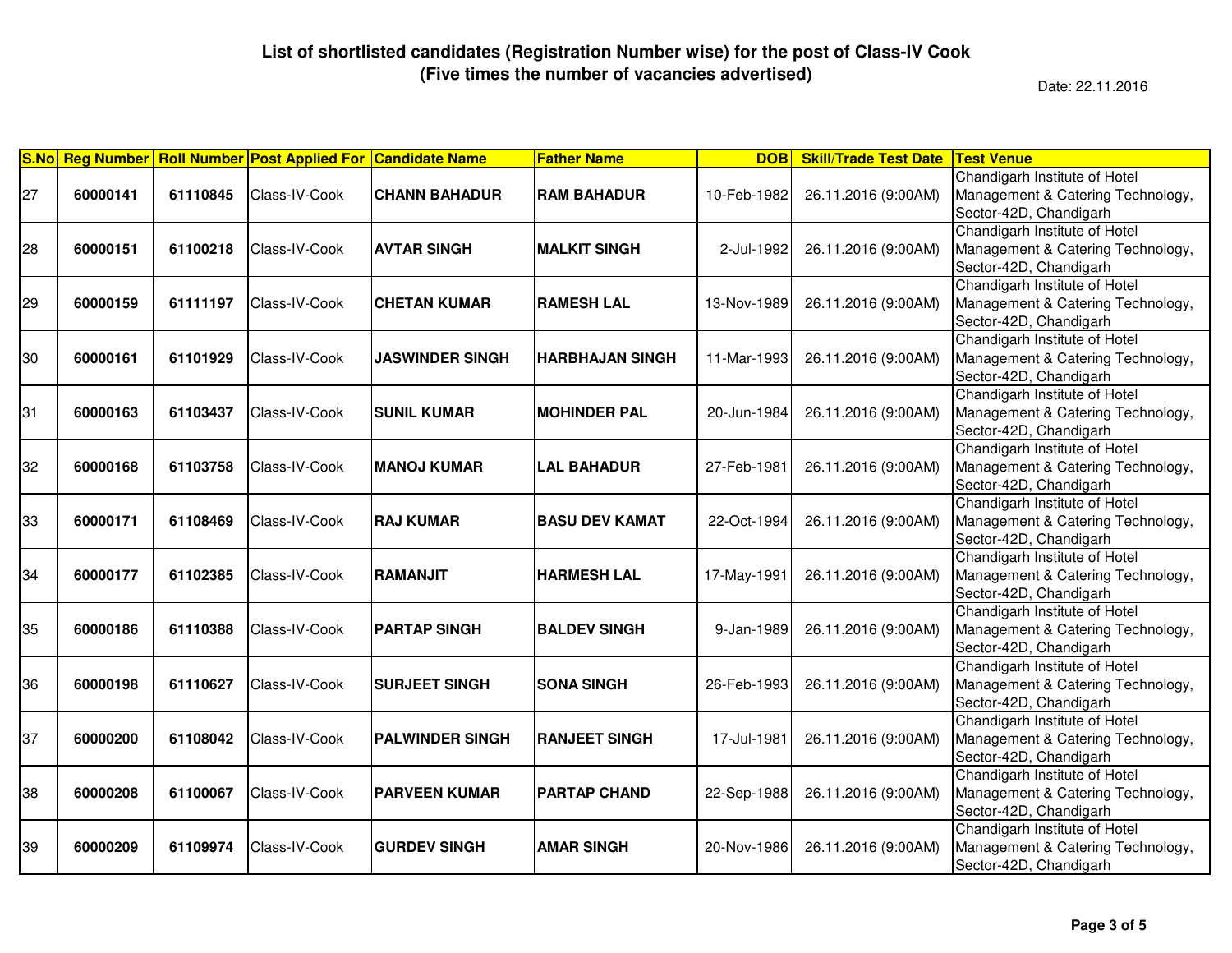|    |          |          | S.No Reg Number Roll Number Post Applied For Candidate Name |                        | <b>Father Name</b>     | <b>DOB</b>  | <b>Skill/Trade Test Date</b> | <b>Test Venue</b>                                                                            |
|----|----------|----------|-------------------------------------------------------------|------------------------|------------------------|-------------|------------------------------|----------------------------------------------------------------------------------------------|
| 27 | 60000141 | 61110845 | Class-IV-Cook                                               | <b>CHANN BAHADUR</b>   | <b>RAM BAHADUR</b>     | 10-Feb-1982 | 26.11.2016 (9:00AM)          | Chandigarh Institute of Hotel<br>Management & Catering Technology,<br>Sector-42D, Chandigarh |
| 28 | 60000151 | 61100218 | Class-IV-Cook                                               | <b>AVTAR SINGH</b>     | <b>MALKIT SINGH</b>    | 2-Jul-1992  | 26.11.2016 (9:00AM)          | Chandigarh Institute of Hotel<br>Management & Catering Technology,<br>Sector-42D, Chandigarh |
| 29 | 60000159 | 61111197 | Class-IV-Cook                                               | <b>CHETAN KUMAR</b>    | <b>RAMESH LAL</b>      | 13-Nov-1989 | 26.11.2016 (9:00AM)          | Chandigarh Institute of Hotel<br>Management & Catering Technology,<br>Sector-42D, Chandigarh |
| 30 | 60000161 | 61101929 | Class-IV-Cook                                               | <b>JASWINDER SINGH</b> | <b>HARBHAJAN SINGH</b> | 11-Mar-1993 | 26.11.2016 (9:00AM)          | Chandigarh Institute of Hotel<br>Management & Catering Technology,<br>Sector-42D, Chandigarh |
| 31 | 60000163 | 61103437 | Class-IV-Cook                                               | <b>SUNIL KUMAR</b>     | <b>MOHINDER PAL</b>    | 20-Jun-1984 | 26.11.2016 (9:00AM)          | Chandigarh Institute of Hotel<br>Management & Catering Technology,<br>Sector-42D, Chandigarh |
| 32 | 60000168 | 61103758 | Class-IV-Cook                                               | <b>MANOJ KUMAR</b>     | <b>LAL BAHADUR</b>     | 27-Feb-1981 | 26.11.2016 (9:00AM)          | Chandigarh Institute of Hotel<br>Management & Catering Technology,<br>Sector-42D, Chandigarh |
| 33 | 60000171 | 61108469 | Class-IV-Cook                                               | <b>RAJ KUMAR</b>       | <b>BASU DEV KAMAT</b>  | 22-Oct-1994 | 26.11.2016 (9:00AM)          | Chandigarh Institute of Hotel<br>Management & Catering Technology,<br>Sector-42D, Chandigarh |
| 34 | 60000177 | 61102385 | Class-IV-Cook                                               | <b>RAMANJIT</b>        | <b>HARMESH LAL</b>     | 17-May-1991 | 26.11.2016 (9:00AM)          | Chandigarh Institute of Hotel<br>Management & Catering Technology,<br>Sector-42D, Chandigarh |
| 35 | 60000186 | 61110388 | Class-IV-Cook                                               | <b>PARTAP SINGH</b>    | <b>BALDEV SINGH</b>    | 9-Jan-1989  | 26.11.2016 (9:00AM)          | Chandigarh Institute of Hotel<br>Management & Catering Technology,<br>Sector-42D, Chandigarh |
| 36 | 60000198 | 61110627 | Class-IV-Cook                                               | <b>SURJEET SINGH</b>   | <b>SONA SINGH</b>      | 26-Feb-1993 | 26.11.2016 (9:00AM)          | Chandigarh Institute of Hotel<br>Management & Catering Technology,<br>Sector-42D, Chandigarh |
| 37 | 60000200 | 61108042 | Class-IV-Cook                                               | <b>PALWINDER SINGH</b> | <b>RANJEET SINGH</b>   | 17-Jul-1981 | 26.11.2016 (9:00AM)          | Chandigarh Institute of Hotel<br>Management & Catering Technology,<br>Sector-42D, Chandigarh |
| 38 | 60000208 | 61100067 | Class-IV-Cook                                               | <b>PARVEEN KUMAR</b>   | <b>PARTAP CHAND</b>    | 22-Sep-1988 | 26.11.2016 (9:00AM)          | Chandigarh Institute of Hotel<br>Management & Catering Technology,<br>Sector-42D, Chandigarh |
| 39 | 60000209 | 61109974 | Class-IV-Cook                                               | <b>GURDEV SINGH</b>    | <b>AMAR SINGH</b>      | 20-Nov-1986 | 26.11.2016 (9:00AM)          | Chandigarh Institute of Hotel<br>Management & Catering Technology,<br>Sector-42D, Chandigarh |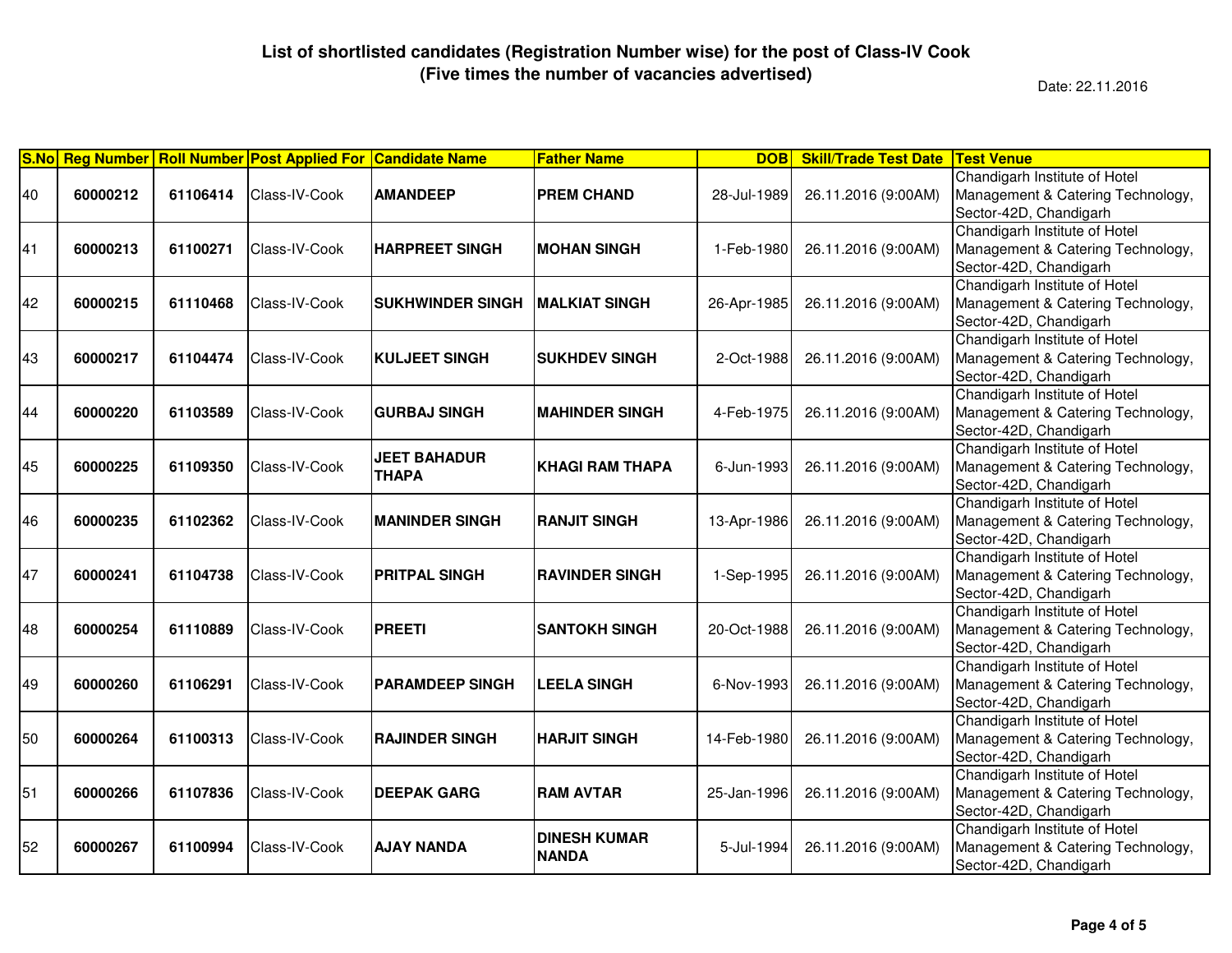| <b>S.No</b> |          |          | Reg Number   Roll Number   Post Applied For   Candidate Name |                                     | <b>Father Name</b>                  | <b>DOB</b>  | <b>Skill/Trade Test Date</b> | <b>Test Venue</b>                                                                            |
|-------------|----------|----------|--------------------------------------------------------------|-------------------------------------|-------------------------------------|-------------|------------------------------|----------------------------------------------------------------------------------------------|
| 40          | 60000212 | 61106414 | Class-IV-Cook                                                | <b>AMANDEEP</b>                     | <b>PREM CHAND</b>                   | 28-Jul-1989 | 26.11.2016 (9:00AM)          | Chandigarh Institute of Hotel<br>Management & Catering Technology,<br>Sector-42D, Chandigarh |
| 41          | 60000213 | 61100271 | Class-IV-Cook                                                | <b>HARPREET SINGH</b>               | <b>MOHAN SINGH</b>                  | 1-Feb-1980  | 26.11.2016 (9:00AM)          | Chandigarh Institute of Hotel<br>Management & Catering Technology,<br>Sector-42D, Chandigarh |
| 42          | 60000215 | 61110468 | Class-IV-Cook                                                | <b>SUKHWINDER SINGH</b>             | IMALKIAT SINGH                      | 26-Apr-1985 | 26.11.2016 (9:00AM)          | Chandigarh Institute of Hotel<br>Management & Catering Technology,<br>Sector-42D, Chandigarh |
| 43          | 60000217 | 61104474 | Class-IV-Cook                                                | <b>KULJEET SINGH</b>                | <b>SUKHDEV SINGH</b>                | 2-Oct-1988  | 26.11.2016 (9:00AM)          | Chandigarh Institute of Hotel<br>Management & Catering Technology,<br>Sector-42D, Chandigarh |
| 44          | 60000220 | 61103589 | Class-IV-Cook                                                | <b>GURBAJ SINGH</b>                 | <b>MAHINDER SINGH</b>               | 4-Feb-1975  | 26.11.2016 (9:00AM)          | Chandigarh Institute of Hotel<br>Management & Catering Technology,<br>Sector-42D, Chandigarh |
| 45          | 60000225 | 61109350 | Class-IV-Cook                                                | <b>JEET BAHADUR</b><br><b>THAPA</b> | <b>KHAGI RAM THAPA</b>              | 6-Jun-1993  | 26.11.2016 (9:00AM)          | Chandigarh Institute of Hotel<br>Management & Catering Technology,<br>Sector-42D, Chandigarh |
| 46          | 60000235 | 61102362 | Class-IV-Cook                                                | <b>MANINDER SINGH</b>               | <b>RANJIT SINGH</b>                 | 13-Apr-1986 | 26.11.2016 (9:00AM)          | Chandigarh Institute of Hotel<br>Management & Catering Technology,<br>Sector-42D, Chandigarh |
| 47          | 60000241 | 61104738 | Class-IV-Cook                                                | <b>PRITPAL SINGH</b>                | <b>RAVINDER SINGH</b>               | 1-Sep-1995  | 26.11.2016 (9:00AM)          | Chandigarh Institute of Hotel<br>Management & Catering Technology,<br>Sector-42D, Chandigarh |
| 48          | 60000254 | 61110889 | Class-IV-Cook                                                | <b>PREETI</b>                       | <b>SANTOKH SINGH</b>                | 20-Oct-1988 | 26.11.2016 (9:00AM)          | Chandigarh Institute of Hotel<br>Management & Catering Technology,<br>Sector-42D, Chandigarh |
| 49          | 60000260 | 61106291 | Class-IV-Cook                                                | <b>PARAMDEEP SINGH</b>              | <b>LEELA SINGH</b>                  | 6-Nov-1993  | 26.11.2016 (9:00AM)          | Chandigarh Institute of Hotel<br>Management & Catering Technology,<br>Sector-42D, Chandigarh |
| 50          | 60000264 | 61100313 | Class-IV-Cook                                                | <b>RAJINDER SINGH</b>               | <b>HARJIT SINGH</b>                 | 14-Feb-1980 | 26.11.2016 (9:00AM)          | Chandigarh Institute of Hotel<br>Management & Catering Technology,<br>Sector-42D, Chandigarh |
| 51          | 60000266 | 61107836 | Class-IV-Cook                                                | <b>DEEPAK GARG</b>                  | <b>RAM AVTAR</b>                    | 25-Jan-1996 | 26.11.2016 (9:00AM)          | Chandigarh Institute of Hotel<br>Management & Catering Technology,<br>Sector-42D, Chandigarh |
| 52          | 60000267 | 61100994 | Class-IV-Cook                                                | <b>AJAY NANDA</b>                   | <b>DINESH KUMAR</b><br><b>NANDA</b> | 5-Jul-1994  | 26.11.2016 (9:00AM)          | Chandigarh Institute of Hotel<br>Management & Catering Technology,<br>Sector-42D, Chandigarh |